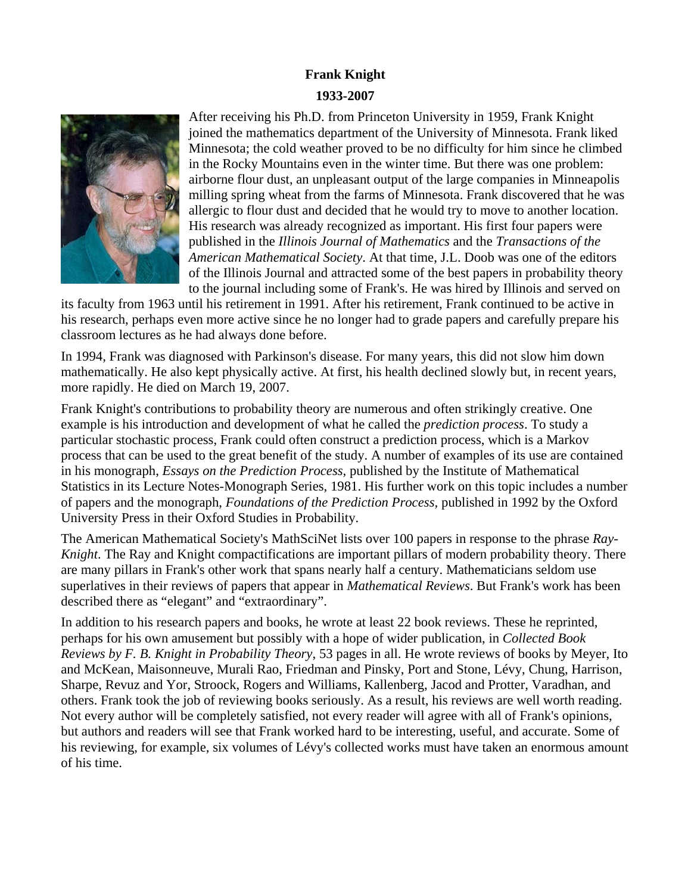## **Frank Knight 1933-2007**



After receiving his Ph.D. from Princeton University in 1959, Frank Knight joined the mathematics department of the University of Minnesota. Frank liked Minnesota; the cold weather proved to be no difficulty for him since he climbed in the Rocky Mountains even in the winter time. But there was one problem: airborne flour dust, an unpleasant output of the large companies in Minneapolis milling spring wheat from the farms of Minnesota. Frank discovered that he was allergic to flour dust and decided that he would try to move to another location. His research was already recognized as important. His first four papers were published in the *Illinois Journal of Mathematics* and the *Transactions of the American Mathematical Society*. At that time, J.L. Doob was one of the editors of the Illinois Journal and attracted some of the best papers in probability theory to the journal including some of Frank's. He was hired by Illinois and served on

its faculty from 1963 until his retirement in 1991. After his retirement, Frank continued to be active in his research, perhaps even more active since he no longer had to grade papers and carefully prepare his classroom lectures as he had always done before.

In 1994, Frank was diagnosed with Parkinson's disease. For many years, this did not slow him down mathematically. He also kept physically active. At first, his health declined slowly but, in recent years, more rapidly. He died on March 19, 2007.

Frank Knight's contributions to probability theory are numerous and often strikingly creative. One example is his introduction and development of what he called the *prediction process*. To study a particular stochastic process, Frank could often construct a prediction process, which is a Markov process that can be used to the great benefit of the study. A number of examples of its use are contained in his monograph, *Essays on the Prediction Process,* published by the Institute of Mathematical Statistics in its Lecture Notes-Monograph Series, 1981. His further work on this topic includes a number of papers and the monograph, *Foundations of the Prediction Process,* published in 1992 by the Oxford University Press in their Oxford Studies in Probability.

The American Mathematical Society's MathSciNet lists over 100 papers in response to the phrase *Ray-Knight*. The Ray and Knight compactifications are important pillars of modern probability theory. There are many pillars in Frank's other work that spans nearly half a century. Mathematicians seldom use superlatives in their reviews of papers that appear in *Mathematical Reviews*. But Frank's work has been described there as "elegant" and "extraordinary".

In addition to his research papers and books, he wrote at least 22 book reviews. These he reprinted, perhaps for his own amusement but possibly with a hope of wider publication, in *Collected Book Reviews by F. B. Knight in Probability Theory*, 53 pages in all. He wrote reviews of books by Meyer, Ito and McKean, Maisonneuve, Murali Rao, Friedman and Pinsky, Port and Stone, Lévy, Chung, Harrison, Sharpe, Revuz and Yor, Stroock, Rogers and Williams, Kallenberg, Jacod and Protter, Varadhan, and others. Frank took the job of reviewing books seriously. As a result, his reviews are well worth reading. Not every author will be completely satisfied, not every reader will agree with all of Frank's opinions, but authors and readers will see that Frank worked hard to be interesting, useful, and accurate. Some of his reviewing, for example, six volumes of Lévy's collected works must have taken an enormous amount of his time.